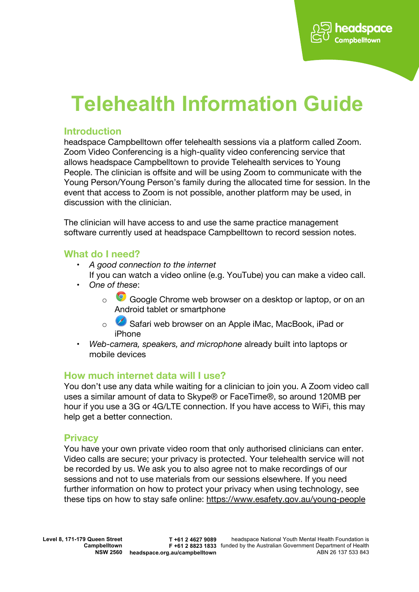

# **Telehealth Information Guide**

## **Introduction**

headspace Campbelltown offer telehealth sessions via a platform called Zoom. Zoom Video Conferencing is a high-quality video conferencing service that allows headspace Campbelltown to provide Telehealth services to Young People. The clinician is offsite and will be using Zoom to communicate with the Young Person/Young Person's family during the allocated time for session. In the event that access to Zoom is not possible, another platform may be used, in discussion with the clinician.

The clinician will have access to and use the same practice management software currently used at headspace Campbelltown to record session notes.

## **What do I need?**

- *A good connection to the internet* If you can watch a video online (e.g. YouTube) you can make a video call.
- *One of these*:
	- o Google Chrome web browser on a desktop or laptop, or on an Android tablet or smartphone
	- o Safari web browser on an Apple iMac, MacBook, iPad or iPhone
- *Web-camera, speakers, and microphone* already built into laptops or mobile devices

## **How much internet data will I use?**

You don't use any data while waiting for a clinician to join you. A Zoom video call uses a similar amount of data to Skype® or FaceTime®, so around 120MB per hour if you use a 3G or 4G/LTE connection. If you have access to WiFi, this may help get a better connection.

## **Privacy**

You have your own private video room that only authorised clinicians can enter. Video calls are secure; your privacy is protected. Your telehealth service will not be recorded by us. We ask you to also agree not to make recordings of our sessions and not to use materials from our sessions elsewhere. If you need further information on how to protect your privacy when using technology, see these tips on how to stay safe online: https://www.esafety.gov.au/young-people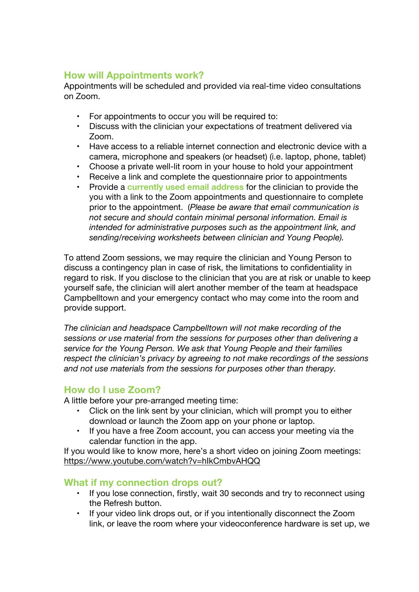# **How will Appointments work?**

Appointments will be scheduled and provided via real-time video consultations on Zoom.

- For appointments to occur you will be required to:
- Discuss with the clinician your expectations of treatment delivered via Zoom.
- Have access to a reliable internet connection and electronic device with a camera, microphone and speakers (or headset) (i.e. laptop, phone, tablet)
- Choose a private well-lit room in your house to hold your appointment
- Receive a link and complete the questionnaire prior to appointments
- Provide a **currently used email address** for the clinician to provide the you with a link to the Zoom appointments and questionnaire to complete prior to the appointment. (*Please be aware that email communication is not secure and should contain minimal personal information. Email is intended for administrative purposes such as the appointment link, and sending/receiving worksheets between clinician and Young People).*

To attend Zoom sessions, we may require the clinician and Young Person to discuss a contingency plan in case of risk, the limitations to confidentiality in regard to risk. If you disclose to the clinician that you are at risk or unable to keep yourself safe, the clinician will alert another member of the team at headspace Campbelltown and your emergency contact who may come into the room and provide support.

*The clinician and headspace Campbelltown will not make recording of the sessions or use material from the sessions for purposes other than delivering a service for the Young Person. We ask that Young People and their families respect the clinician's privacy by agreeing to not make recordings of the sessions and not use materials from the sessions for purposes other than therapy.*

# **How do I use Zoom?**

A little before your pre-arranged meeting time:

- Click on the link sent by your clinician, which will prompt you to either download or launch the Zoom app on your phone or laptop.
- If you have a free Zoom account, you can access your meeting via the calendar function in the app.

If you would like to know more, here's a short video on joining Zoom meetings: https://www.youtube.com/watch?v=hIkCmbvAHQQ

# **What if my connection drops out?**

- If you lose connection, firstly, wait 30 seconds and try to reconnect using the Refresh button.
- If your video link drops out, or if you intentionally disconnect the Zoom link, or leave the room where your videoconference hardware is set up, we